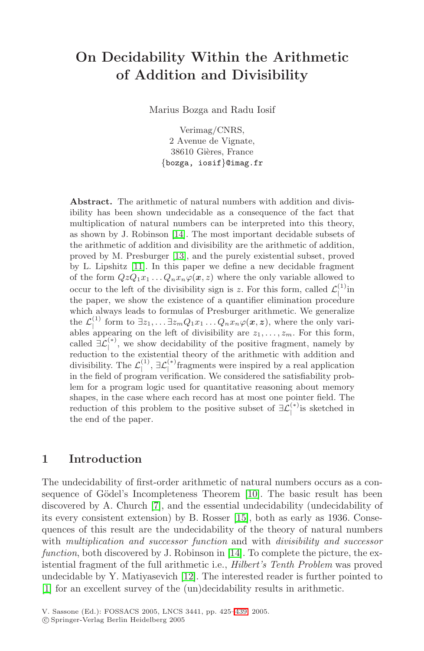## **On Decidability Within the Arithmetic of Addition and Divisibility**

Marius Bozga and Radu Iosif

Verimag/CNRS, 2 Avenue de Vignate, 38610 Gières, France {bozga, iosif}@imag.fr

**Abstract.** The arithmetic of natural numbers with addition and divisibility has been shown undecidable as a consequence of the fact that multiplication of natural numbers can be interpreted into this theory, as shown by J. Robinson [\[14\]](#page-14-0). The most important decidable subsets of the arithmetic of addition and divisibility are the arithmetic of addition, proved by M. Presburger [\[13\]](#page-14-1), and the purely existential subset, proved by L. Lipshitz [\[11\]](#page-14-2). In this paper we define a new decidable fragment of the form  $QzQ_1x_1 \ldots Q_nx_n\varphi(x, z)$  where the only variable allowed to occur to the left of the divisibility sign is z. For this form, called  $\mathcal{L}^{(1)}_1$  in the paper, we show the existence of a quantifier elimination procedure which always leads to formulas of Presburger arithmetic. We generalize the  $\mathcal{L}_1^{(1)}$  form to  $\exists z_1, \ldots \exists z_m Q_1 x_1 \ldots Q_n x_n \varphi(x, z)$ , where the only variables appearing on the left of divisibility are  $z_1, \ldots, z_m$ . For this form, called  $\exists \mathcal{L}^{(*)}_|$ , we show decidability of the positive fragment, namely by reduction to the existential theory of the arithmetic with addition and divisibility. The  $\mathcal{L}^{(1)}_|$ ,  $\exists \mathcal{L}^{(*)}_|$  fragments were inspired by a real application in the field of program verification. We considered the satisfiability problem for a program logic used for quantitative reasoning about memory shapes, in the case where each record has at most one pointer field. The reduction of this problem to the positive subset of  $\exists \mathcal{L}_{\vert}^{(*)}$  is sketched in the end of the paper.

### **1 Introduction**

The undecidability of first-order arithmetic of natural numbers occurs as a con-sequence of Gödel's Incompleteness Theorem [\[10\]](#page-14-3). The basic result has been discovered by A. Church [\[7\]](#page-14-4), and the essential undecidability (undecidability of its every consistent extension) by B. Rosser [\[15\]](#page-14-5), both as early as 1936. Consequences of this result are the undecidability of the theory of natural numbers with *multiplication and successor function* and with *divisibility and successor function*, both discovered by J. Robinson in [\[14\]](#page-14-0). To complete the picture, the existential fragment of the full arithmetic i.e., *Hilbert's Tenth Problem* was proved undecidable by Y. Matiyasevich [\[12\]](#page-14-6). The interested reader is further pointed to [\[1\]](#page-14-7) for an excellent survey of the (un)decidability results in arithmetic.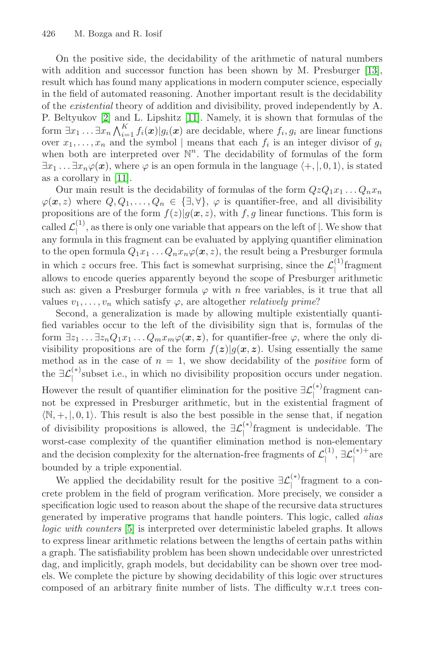On the positive side, the decidability of the arithmetic of natural numbers with addition and successor function has been shown by M. Presburger [\[13\]](#page-14-1), result which has found many applications in modern computer science, especially in the field of automated reasoning. Another important result is the decidability of the *existential* theory of addition and divisibility, proved independently by A. P. Beltyukov [\[2\]](#page-14-9) and L. Lipshitz [\[11\]](#page-14-2). Namely, it is shown that formulas of the form  $\exists x_1 \ldots \exists x_n \bigwedge_{i=1}^K f_i(\bm{x}) | g_i(\bm{x})$  are decidable, where  $f_i, g_i$  are linear functions over  $x_1, \ldots, x_n$  and the symbol | means that each  $f_i$  is an integer divisor of  $g_i$ when both are interpreted over  $\mathbb{N}^n$ . The decidability of formulas of the form  $\exists x_1 \ldots \exists x_n \varphi(\bm{x})$ , where  $\varphi$  is an open formula in the language  $\langle +, |, 0, 1 \rangle$ , is stated as a corollary in [\[11\]](#page-14-2).

Our main result is the decidability of formulas of the form  $QzQ_1x_1 \ldots Q_nx_n$  $\varphi(\mathbf{x}, z)$  where  $Q, Q_1, \ldots, Q_n \in \{\exists, \forall\}, \varphi$  is quantifier-free, and all divisibility propositions are of the form  $f(z)|g(x, z)$ , with f, g linear functions. This form is called  $\mathcal{L}^{(1)}_|$ , as there is only one variable that appears on the left of |. We show that any formula in this fragment can be evaluated by applying quantifier elimination to the open formula  $Q_1x_1 \ldots Q_nx_n\varphi(x, z)$ , the result being a Presburger formula in which z occurs free. This fact is somewhat surprising, since the  $\mathcal{L}^{(1)}_|$  fragment allows to encode queries apparently beyond the scope of Presburger arithmetic such as: given a Presburger formula  $\varphi$  with n free variables, is it true that all values  $v_1, \ldots, v_n$  which satisfy  $\varphi$ , are altogether *relatively prime*?

Second, a generalization is made by allowing multiple existentially quantified variables occur to the left of the divisibility sign that is, formulas of the form  $\exists z_1 \ldots \exists z_n Q_1 x_1 \ldots Q_m x_m \varphi(\mathbf{x}, \mathbf{z})$ , for quantifier-free  $\varphi$ , where the only divisibility propositions are of the form  $f(z)|g(x, z)$ . Using essentially the same method as in the case of  $n = 1$ , we show decidability of the *positive* form of the  $\exists \mathcal{L}_{\vert}^{(*)}$ subset i.e., in which no divisibility proposition occurs under negation. However the result of quantifier elimination for the positive  $\exists \mathcal{L}_{\vert}^{(*)}$  fragment cannot be expressed in Presburger arithmetic, but in the existential fragment of  $\langle \mathbb{N}, +, \langle 0, 1 \rangle$ . This result is also the best possible in the sense that, if negation of divisibility propositions is allowed, the  $\exists \mathcal{L}_{\vert}^{(*)}$  fragment is undecidable. The worst-case complexity of the quantifier elimination method is non-elementary and the decision complexity for the alternation-free fragments of  $\mathcal{L}_1^{(1)}$ ,  $\exists \mathcal{L}_1^{(*)+}$  are bounded by a triple exponential.

We applied the decidability result for the positive  $\exists \mathcal{L}_{\vert}^{(*)}$  fragment to a concrete problem in the field of program verification. More precisely, we consider a specification logic used to reason about the shape of the recursive data structures generated by imperative programs that handle pointers. This logic, called *alias logic with counters* [\[5\]](#page-14-10) is interpreted over deterministic labeled graphs. It allows to express linear arithmetic relations between the lengths of certain paths within a graph. The satisfiability problem has been shown undecidable over unrestricted dag, and implicitly, graph models, but decidability can be shown over tree models. We complete the picture by showing decidability of this logic over structures composed of an arbitrary finite number of lists. The difficulty w.r.t trees con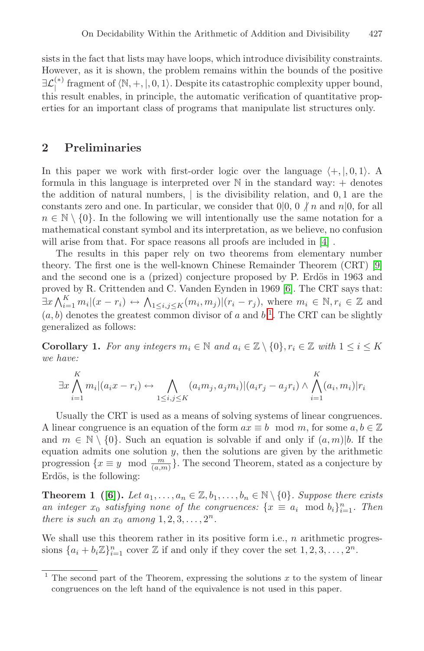sists in the fact that lists may have loops, which introduce divisibility constraints. However, as it is shown, the problem remains within the bounds of the positive  $\exists \mathcal{L}_{\vert}^{(*)}$  fragment of  $\langle \mathbb{N}, +, \vert, 0, 1 \rangle$ . Despite its catastrophic complexity upper bound, this result enables, in principle, the automatic verification of quantitative properties for an important class of programs that manipulate list structures only.

### **2 Preliminaries**

In this paper we work with first-order logic over the language  $\langle +, |, 0, 1 \rangle$ . A formula in this language is interpreted over  $\mathbb N$  in the standard way:  $+$  denotes the addition of natural numbers, | is the divisibility relation, and 0, 1 are the constants zero and one. In particular, we consider that  $0|0, 0 \nmid n$  and  $n|0$ , for all  $n \in \mathbb{N} \setminus \{0\}$ . In the following we will intentionally use the same notation for a mathematical constant symbol and its interpretation, as we believe, no confusion will arise from that. For space reasons all proofs are included in [\[4\]](#page-14-11).

The results in this paper rely on two theorems from elementary number theory. The first one is the well-known Chinese Remainder Theorem (CRT) [\[9\]](#page-14-12) and the second one is a (prized) conjecture proposed by P. Erdös in 1963 and proved by R. Crittenden and C. Vanden Eynden in 1969 [\[6\]](#page-14-13). The CRT says that:  $\exists x \bigwedge_{i=1}^K m_i |(x - r_i) \leftrightarrow \bigwedge_{1 \leq i,j \leq K} (m_i, m_j) |(r_i - r_j)$ , where  $m_i \in \mathbb{N}, r_i \in \mathbb{Z}$  and  $(a, b)$  denotes the greatest common divisor of a and  $b<sup>1</sup>$  $b<sup>1</sup>$  $b<sup>1</sup>$ . The CRT can be slightly generalized as follows:

<span id="page-2-1"></span>**Corollary 1.** For any integers  $m_i \in \mathbb{N}$  and  $a_i \in \mathbb{Z} \setminus \{0\}, r_i \in \mathbb{Z}$  with  $1 \leq i \leq K$ *we have:*

$$
\exists x \bigwedge_{i=1}^{K} m_i | (a_i x - r_i) \leftrightarrow \bigwedge_{1 \leq i,j \leq K} (a_i m_j, a_j m_i) | (a_i r_j - a_j r_i) \wedge \bigwedge_{i=1}^{K} (a_i, m_i) | r_i
$$

Usually the CRT is used as a means of solving systems of linear congruences. A linear congruence is an equation of the form  $ax \equiv b \mod m$ , for some  $a, b \in \mathbb{Z}$ and  $m \in \mathbb{N} \setminus \{0\}$ . Such an equation is solvable if and only if  $(a, m)|b$ . If the equation admits one solution  $y$ , then the solutions are given by the arithmetic progression  $\{x \equiv y \mod \frac{m}{(a,m)}\}$ . The second Theorem, stated as a conjecture by Erdös, is the following:

<span id="page-2-2"></span>**Theorem 1** ([\[6\]](#page-14-13)). Let  $a_1, \ldots, a_n \in \mathbb{Z}, b_1, \ldots, b_n \in \mathbb{N} \setminus \{0\}$ . Suppose there exists *an integer*  $x_0$  *satisfying none of the congruences:*  $\{x \equiv a_i \mod b_i\}_{i=1}^n$ . Then *there is such an*  $x_0$  *among*  $1, 2, 3, \ldots, 2^n$ *.* 

We shall use this theorem rather in its positive form i.e.,  $n$  arithmetic progressions  $\{a_i + b_i \mathbb{Z}\}_{i=1}^n$  cover  $\mathbb Z$  if and only if they cover the set  $1, 2, 3, ..., 2^n$ .

<span id="page-2-0"></span><sup>&</sup>lt;sup>1</sup> The second part of the Theorem, expressing the solutions  $x$  to the system of linear congruences on the left hand of the equivalence is not used in this paper.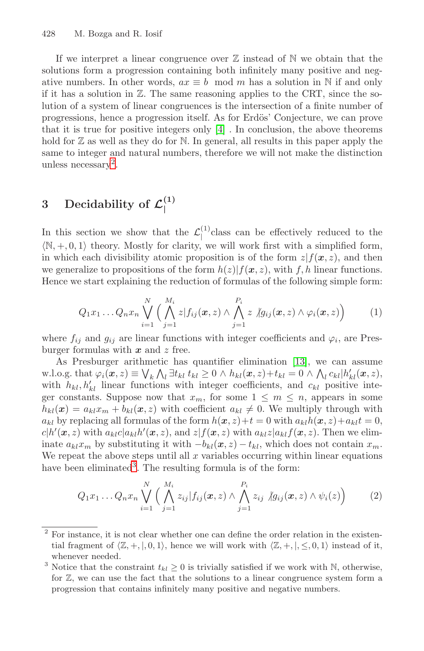If we interpret a linear congruence over  $\mathbb Z$  instead of  $\mathbb N$  we obtain that the solutions form a progression containing both infinitely many positive and negative numbers. In other words,  $ax \equiv b \mod m$  has a solution in N if and only if it has a solution in  $\mathbb{Z}$ . The same reasoning applies to the CRT, since the solution of a system of linear congruences is the intersection of a finite number of progressions, hence a progression itself. As for Erdös' Conjecture, we can prove that it is true for positive integers only  $[4]$ . In conclusion, the above theorems hold for  $\mathbb Z$  as well as they do for  $\mathbb N$ . In general, all results in this paper apply the same to integer and natural numbers, therefore we will not make the distinction unless necessary<sup>[2](#page-3-0)</sup>.

# <span id="page-3-3"></span>**3** Decidability of  $\mathcal{L}_{\vert}^{(1)}$

In this section we show that the  $\mathcal{L}^{(1)}_$  class can be effectively reduced to the  $\langle \mathbb{N}, +, 0, 1 \rangle$  theory. Mostly for clarity, we will work first with a simplified form, in which each divisibility atomic proposition is of the form  $z|f(x, z)$ , and then we generalize to propositions of the form  $h(z)|f(x, z)$ , with f, h linear functions. Hence we start explaining the reduction of formulas of the following simple form:

$$
Q_1x_1 \ldots Q_nx_n \bigvee_{i=1}^N \Big(\bigwedge_{j=1}^{M_i} z|f_{ij}(\boldsymbol{x},z) \wedge \bigwedge_{j=1}^{P_i} z \big \langle g_{ij}(\boldsymbol{x},z) \wedge \varphi_i(\boldsymbol{x},z) \Big) \qquad (1)
$$

where  $f_{ij}$  and  $g_{ij}$  are linear functions with integer coefficients and  $\varphi_i$ , are Presburger formulas with *x* and z free.

As Presburger arithmetic has quantifier elimination [\[13\]](#page-14-1), we can assume w.l.o.g. that  $\varphi_i(\boldsymbol{x}, z) \equiv \bigvee_k \bigwedge_l \exists t_{kl} \ t_{kl} \geq 0 \wedge h_{kl}(\boldsymbol{x}, z) + t_{kl} = 0 \wedge \bigwedge_l c_{kl} |h'_{kl}(\boldsymbol{x}, z),$ with  $h_{kl}, h'_{kl}$  linear functions with integer coefficients, and  $c_{kl}$  positive integer constants. Suppose now that  $x_m$ , for some  $1 \leq m \leq n$ , appears in some  $h_{kl}(\boldsymbol{x}) = a_{kl}x_m + b_{kl}(\boldsymbol{x}, z)$  with coefficient  $a_{kl} \neq 0$ . We multiply through with  $a_{kl}$  by replacing all formulas of the form  $h(x, z) + t = 0$  with  $a_{kl}h(x, z) + a_{kl}t = 0$ ,  $c|h'(\boldsymbol{x},z)$  with  $a_{kl}c|a_{kl}h'(\boldsymbol{x},z)$ , and  $z|f(\boldsymbol{x},z)$  with  $a_{kl}z|a_{kl}f(\boldsymbol{x},z)$ . Then we eliminate  $a_{kl}x_m$  by substituting it with  $-b_{kl}(x, z) - t_{kl}$ , which does not contain  $x_m$ . We repeat the above steps until all  $x$  variables occurring within linear equations have been eliminated<sup>[3](#page-3-1)</sup>. The resulting formula is of the form:

<span id="page-3-2"></span>
$$
Q_1x_1 \ldots Q_nx_n \bigvee_{i=1}^N \Big( \bigwedge_{j=1}^{M_i} z_{ij} | f_{ij}(\boldsymbol{x}, z) \wedge \bigwedge_{j=1}^{P_i} z_{ij} \nmid g_{ij}(\boldsymbol{x}, z) \wedge \psi_i(z) \Big) \qquad (2)
$$

<span id="page-3-0"></span><sup>2</sup> For instance, it is not clear whether one can define the order relation in the existential fragment of  $\langle \mathbb{Z}, +, |, 0, 1 \rangle$ , hence we will work with  $\langle \mathbb{Z}, +, |, \leq, 0, 1 \rangle$  instead of it, whenever needed.

<span id="page-3-1"></span><sup>&</sup>lt;sup>3</sup> Notice that the constraint  $t_{kl} \geq 0$  is trivially satisfied if we work with N, otherwise, for Z, we can use the fact that the solutions to a linear congruence system form a progression that contains infinitely many positive and negative numbers.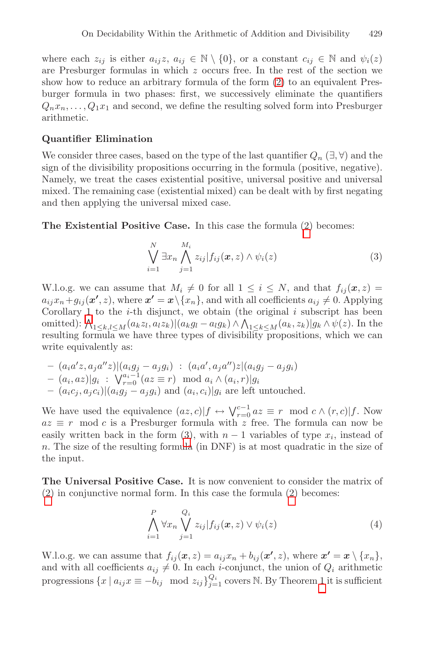where each  $z_{ij}$  is either  $a_{ij}z, a_{ij} \in \mathbb{N} \setminus \{0\}$ , or a constant  $c_{ij} \in \mathbb{N}$  and  $\psi_i(z)$ are Presburger formulas in which  $z$  occurs free. In the rest of the section we show how to reduce an arbitrary formula of the form [\(2\)](#page-3-2) to an equivalent Presburger formula in two phases: first, we successively eliminate the quantifiers  $Q_n x_n, \ldots, Q_1 x_1$  and second, we define the resulting solved form into Presburger arithmetic.

#### **Quantifier Elimination**

We consider three cases, based on the type of the last quantifier  $Q_n$  ( $\exists$ ,  $\forall$ ) and the sign of the divisibility propositions occurring in the formula (positive, negative). Namely, we treat the cases existential positive, universal positive and universal mixed. The remaining case (existential mixed) can be dealt with by first negating and then applying the universal mixed case.

**The Existential Positive Case.** In this case the formula [\(2\)](#page-3-2) becomes:

<span id="page-4-0"></span>
$$
\bigvee_{i=1}^{N} \exists x_{n} \bigwedge_{j=1}^{M_{i}} z_{ij} | f_{ij}(\boldsymbol{x}, z) \wedge \psi_{i}(z) \tag{3}
$$

W.l.o.g. we can assume that  $M_i \neq 0$  for all  $1 \leq i \leq N$ , and that  $f_{ij}(\mathbf{x}, z) =$  $a_{ij}x_n+g_{ij}(\mathbf{x}',z)$ , where  $\mathbf{x'}=\mathbf{x}\backslash\{x_n\}$ , and with all coefficients  $a_{ij}\neq 0$ . Applying Corollary 1 to the  $i$ -th disjunct, we obtain (the original  $i$  subscript has been omitted):  $\bigwedge_{1\leq k,l\leq M} (a_k z_l, a_l z_k) | (a_k g_l - a_l g_k) \wedge \bigwedge_{1\leq k\leq M} (a_k, z_k) | g_k \wedge \psi(z)$ . In the resulting formula we have three types of divisibility propositions, which we can write equivalently as:

- 
$$
(a_i a' z, a_j a'' z)| (a_i g_j - a_j g_i)
$$
 :  $(a_i a', a_j a'') z | (a_i g_j - a_j g_i)$   
\n-  $(a_i, a z) | g_i$  :  $\bigvee_{r=0}^{a_i-1} (az \equiv r)$  mod  $a_i \wedge (a_i, r) | g_i$   
\n-  $(a_i c_j, a_j c_i) | (a_i g_j - a_j g_i)$  and  $(a_i, c_i) | g_i$  are left untouched.

We have used the equivalence  $(az, c)|f \leftrightarrow \bigvee_{r=0}^{c-1} az \equiv r \mod c \wedge (r, c)|f$ . Now  $az \equiv r \mod c$  is a Presburger formula with z free. The formula can now be easily written back in the form (3), with  $n-1$  variables of type  $x_i$ , instead of n. The size of the resulting form[ula](#page-4-0) (in DNF) is at most quadratic in the size of the input.

**The Universal Positive Case.** It is now convenient to consider the matrix of [\(2\)](#page-3-2) in conjunctive normal form. In this case the formula [\(2\)](#page-3-2) becomes:

$$
\bigwedge_{i=1}^{P} \forall x_n \bigvee_{j=1}^{Q_i} z_{ij} | f_{ij}(\boldsymbol{x}, z) \vee \psi_i(z)
$$
\n(4)

W.l.o.g. we can assume that  $f_{ij}(\mathbf{x}, z) = a_{ij}x_n + b_{ij}(\mathbf{x}', z)$ , where  $\mathbf{x'} = \mathbf{x} \setminus \{x_n\}$ , and with all coefficients  $a_{ij} \neq 0$ . In each *i*-conjunct, the union of  $Q_i$  arithmetic progressions  $\{x \mid a_{ij}x \equiv -b_{ij} \mod z_{ij}\}_{j=1}^{Q_i}$  covers N. By Theorem [1](#page-2-2) it is sufficient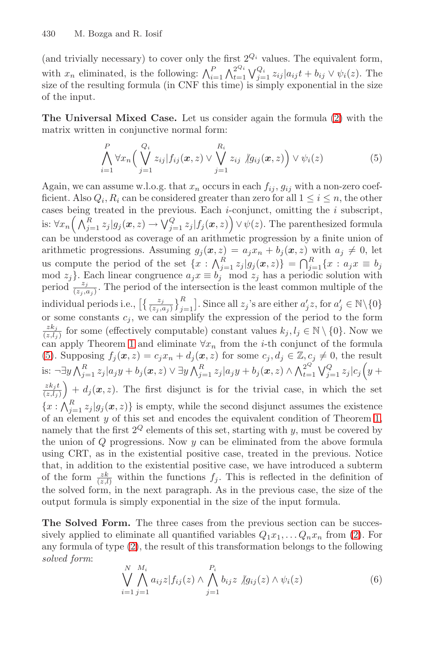(and trivially necessary) to cover only the first  $2^{Q_i}$  values. The equivalent form, with  $x_n$  eliminated, is the following:  $\bigwedge_{i=1}^P \bigwedge_{i=1}^{2Q_i} \bigvee_{j=1}^{Q_i} z_{ij} | a_{ij}t + b_{ij} \vee \psi_i(z)$ . The size of the resulting formula (in CNF this time) is simply exponential in the size of the input.

**The Universal Mixed Case.** Let us consider again the formula [\(2\)](#page-3-2) with the matrix written in conjunctive normal form:

<span id="page-5-0"></span>
$$
\bigwedge_{i=1}^{P} \forall x_n \Big( \bigvee_{j=1}^{Q_i} z_{ij} | f_{ij}(\boldsymbol{x}, z) \vee \bigvee_{j=1}^{R_i} z_{ij} \rangle g_{ij}(\boldsymbol{x}, z) \Big) \vee \psi_i(z) \tag{5}
$$

Again, we can assume w.l.o.g. that  $x_n$  occurs in each  $f_{ij}$ ,  $g_{ij}$  with a non-zero coefficient. Also  $Q_i, R_i$  can be considered greater than zero for all  $1 \leq i \leq n$ , the other cases being treated in the previous. Each  $i$ -conjunct, omitting the  $i$  subscript, is:  $\forall x_n \left( \bigwedge_{j=1}^R z_j | g_j(\boldsymbol{x}, z) \right) \rightarrow \bigvee_{j=1}^Q z_j | f_j(\boldsymbol{x}, z) \right) \vee \psi(z)$ . The parenthesized formula can be understood as coverage of an arithmetic progression by a finite union of arithmetic progressions. Assuming  $g_i(\mathbf{x}, z) = a_i x_n + b_i(\mathbf{x}, z)$  with  $a_i \neq 0$ , let us compute the period of the set  $\{x : \bigwedge_{j=1}^R z_j | g_j(\boldsymbol{x}, z)\} = \bigcap_{j=1}^R \{x : a_j x \equiv b_j\}$ mod  $z_j$ . Each linear congruence  $a_j x \equiv b_j \mod z_j$  has a periodic solution with period  $\frac{z_j}{(z_j, a_j)}$ . The period of the intersection is the least common multiple of the individual periods i.e.,  $\left[\left\{\frac{z_j}{(z_j, a_j)}\right\}_{j=1}^R\right]$  $\sum_{j=1}^{R}$ . Since all  $z_j$ 's are either  $a'_j z$ , for  $a'_j \in \mathbb{N} \setminus \{0\}$ or some constants  $c_j$ , we can simplify the expression of the period to the form  $\frac{zk_j}{(z,l_j)}$  for some (effectively computable) constant values  $k_j, l_j \in \mathbb{N} \setminus \{0\}$ . Now we can apply Theorem [1](#page-2-2) and eliminate  $\forall x_n$  from the *i*-th conjunct of the formula [\(5\)](#page-5-0). Supposing  $f_j(\mathbf{x}, z) = c_j x_n + d_j(\mathbf{x}, z)$  for some  $c_j, d_j \in \mathbb{Z}, c_j \neq 0$ , the result is: ¬∃y  $\bigwedge_{j=1}^R z_j | a_j y + b_j(x,z) \vee \exists y \bigwedge_{j=1}^R z_j | a_j y + b_j(x,z) \wedge \bigwedge_{t=1}^{2Q} \bigvee_{j=1}^Q z_j | c_j (y + z) \bigwedge_{t=1}^Q z_j | c_j (y + z) \bigwedge_{t=1}^Q z_j | c_j (y + z) \bigwedge_{t=1}^Q z_j | c_j (y + z) \bigwedge_{t=1}^Q z_j | c_j (y + z) \bigwedge_{t=1}^Q z_j | c_j (y + z) \bigwedge_{t=1}^Q z_j | c_j ($  $z k_j t$  $(z, l<sub>j</sub>)$  $+ d_j(x, z)$ . The first disjunct is for the trivial case, in which the set  $\{x: \bigwedge_{j=1}^R z_j | g_j(\boldsymbol{x}, z)\}\$ is empty, while the second disjunct assumes the existence of an element  $y$  of this set and encodes the equivalent condition of Theorem [1,](#page-2-2) namely that the first  $2^Q$  elements of this set, starting with y, must be covered by the union of  $Q$  progressions. Now  $y$  can be eliminated from the above formula using CRT, as in the existential positive case, treated in the previous. Notice that, in addition to the existential positive case, we have introduced a subterm of the form  $\frac{zk}{(z,l)}$  within the functions  $f_j$ . This is reflected in the definition of the solved form, in the next paragraph. As in the previous case, the size of the output formula is simply exponential in the size of the input formula.

**The Solved Form.** The three cases from the previous section can be successively applied to eliminate all quantified variables  $Q_1x_1, \ldots Q_nx_n$  from [\(2\)](#page-3-2). For any formula of type [\(2\)](#page-3-2), the result of this transformation belongs to the following *solved form*:

$$
\bigvee_{i=1}^{N} \bigwedge_{j=1}^{M_i} a_{ij} z | f_{ij}(z) \wedge \bigwedge_{j=1}^{P_i} b_{ij} z \nmid g_{ij}(z) \wedge \psi_i(z)
$$
\n
$$
(6)
$$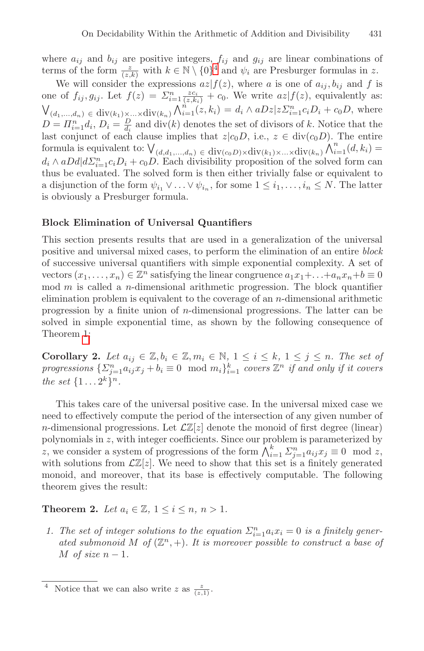where  $a_{ij}$  and  $b_{ij}$  are positive integers,  $f_{ij}$  and  $g_{ij}$  are linear combinations of terms of the form  $\frac{z}{(z,k)}$  with  $k \in \mathbb{N} \setminus \{0\}^4$  $k \in \mathbb{N} \setminus \{0\}^4$  and  $\psi_i$  are Presburger formulas in z.

We will consider the expressions  $az|f(z)$ , where a is one of  $a_{ij}, b_{ij}$  and f is one of  $f_{ij}, g_{ij}$ . Let  $f(z) = \sum_{i=1}^n \frac{zc_i}{(z,k_i)} + c_0$ . We write  $az|f(z)$ , equivalently as:  $\bigvee_{(d_1,...,d_n)} \in \text{div}_{(k_1)\times...\times \text{div}_{(k_n)}} \bigwedge_{i=1}^{n} (z, k_i) = d_i \wedge aDz \mid z\sum_{i=1}^{n} c_i D_i + c_0 D$ , where  $D = \prod_{i=1}^n d_i$ ,  $D_i = \frac{D}{d_i}$  and div(k) denotes the set of divisors of k. Notice that the last conjunct of each clause implies that  $z|c_0D$ , i.e.,  $z \in \text{div}(c_0D)$ . The entire formula is equivalent to:  $\bigvee_{(d,d_1,...,d_n) \in \text{div}(c_0D)\times \text{div}(k_1)\times ... \times \text{div}(k_n)} \bigwedge_{i=1}^n (d,k_i) =$  $d_i \wedge aDd \mid d\Sigma_{i=1}^n c_i D_i + c_0 D$ . Each divisibility proposition of the solved form can thus be evaluated. The solved form is then either trivially false or equivalent to a disjunction of the form  $\psi_{i_1} \vee \ldots \vee \psi_{i_n}$ , for some  $1 \leq i_1, \ldots, i_n \leq N$ . The latter is obviously a Presburger formula.

#### **Block Elimination of Universal Quantifiers**

This section presents results that are used in a generalization of the universal positive and universal mixed cases, to perform the elimination of an entire *block* of successive universal quantifiers with simple exponential complexity. A set of vectors  $(x_1, \ldots, x_n) \in \mathbb{Z}^n$  satisfying the linear congruence  $a_1x_1 + \ldots + a_nx_n + b \equiv 0$  $mod m$  is called a *n*-dimensional arithmetic progression. The block quantifier elimination problem is equivalent to the coverage of an  $n$ -dimensional arithmetic progression by a finite union of n-dimensional progressions. The latter can be solved in simple exponential time, as shown by the following consequence of Theorem [1:](#page-2-2)

**Corollary 2.** *Let*  $a_{ij} \in \mathbb{Z}, b_i \in \mathbb{Z}, m_i \in \mathbb{N}, 1 \leq i \leq k, 1 \leq j \leq n$ . The set of  $progressions \ \{\sum_{j=1}^{n} a_{ij}x_j + b_i \equiv 0 \mod m_i\}_{i=1}^k \ covers \ \mathbb{Z}^n \ \text{ if and only if it covers}$ *the set*  $\{1 \dots 2^k\}^n$ *.* 

This takes care of the universal positive case. In the universal mixed case we need to effectively compute the period of the intersection of any given number of n-dimensional progressions. Let  $\mathcal{L}\mathbb{Z}[z]$  denote the monoid of first degree (linear) polynomials in z, with integer coefficients. Since our problem is parameterized by z, we consider a system of progressions of the form  $\bigwedge_{i=1}^k \sum_{j=1}^n a_{ij} x_j \equiv 0 \mod z$ , with solutions from  $\mathcal{L}\mathbb{Z}[z]$ . We need to show that this set is a finitely generated monoid, and moreover, that its base is effectively computable. The following theorem gives the result:

<span id="page-6-1"></span>**Theorem 2.** Let  $a_i \in \mathbb{Z}, 1 \leq i \leq n, n > 1$ .

*1. The set of integer solutions to the equation*  $\sum_{i=1}^{n} a_i x_i = 0$  *is a finitely gener*ated submonoid M of  $(\mathbb{Z}^n, +)$ *. It is moreover possible to construct a base of* M *of size*  $n-1$ *.* 

<span id="page-6-0"></span><sup>&</sup>lt;sup>4</sup> Notice that we can also write z as  $\frac{z}{(z,1)}$ .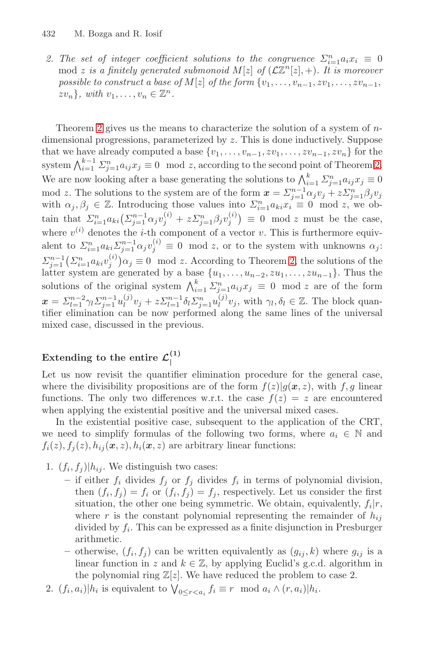2. The set of integer coefficient solutions to the congruence  $\sum_{i=1}^{n} a_i x_i \equiv 0$ mod z *is a finitely generated submonoid*  $M[z]$  *of*  $(\mathcal{L}\mathbb{Z}^n[z], +)$ *. It is moreover possible to construct a base of*  $M[z]$  *of the form*  $\{v_1, \ldots, v_{n-1}, zv_1, \ldots, zv_{n-1}, \ldots, zv_{n-1}\}$  $zv_n$ *}*, with  $v_1, \ldots, v_n \in \mathbb{Z}^n$ .

Theorem [2](#page-6-1) gives us the means to characterize the solution of a system of  $n$ dimensional progressions, parameterized by z. This is done inductively. Suppose that we have already computed a base  $\{v_1, \ldots, v_{n-1}, zv_1, \ldots, zv_{n-1}, zv_n\}$  for the system  $\bigwedge_{i=1}^{k-1} \sum_{j=1}^{n} a_{ij} x_j \equiv 0 \mod z$ , according to the second point of Theorem [2.](#page-6-1) We are now looking after a base generating the solutions to  $\bigwedge_{i=1}^{k} \sum_{j=1}^{n} a_{ij} x_j \equiv 0$ mod z. The solutions to the system are of the form  $x = \sum_{j=1}^{n-1} \alpha_j v_j + z \sum_{j=1}^n \beta_j v_j$ with  $\alpha_j, \beta_j \in \mathbb{Z}$ . Introducing those values into  $\sum_{i=1}^n a_{ki}x_i \equiv 0 \mod z$ , we obtain that  $\sum_{i=1}^n a_{ki} \left( \sum_{j=1}^{n-1} \alpha_j v_j^{(i)} + z \sum_{j=1}^n \beta_j v_j^{(i)} \right) \equiv 0 \mod z$  must be the case, where  $v^{(i)}$  denotes the *i*-th component of a vector v. This is furthermore equivalent to  $\sum_{i=1}^n a_{ki} \sum_{j=1}^{n-1} \alpha_j v_j^{(i)} \equiv 0 \mod z$ , or to the system with unknowns  $\alpha_j$ :  $\sum_{j=1}^{n-1} \left( \sum_{i=1}^n a_{ki} v_j^{(i)} \right) \alpha_j \equiv 0 \mod z$ . According to Theorem [2,](#page-6-1) the solutions of the latter system are generated by a base  $\{u_1,\ldots,u_{n-2}, zu_1,\ldots, zu_{n-1}\}.$  Thus the solutions of the original system  $\bigwedge_{i=1}^k \sum_{j=1}^n a_{ij}x_j \equiv 0 \mod z$  are of the form  $x = \sum_{l=1}^{n-2} \gamma_l \sum_{j=1}^{n-1} u_l^{(j)} v_j + z \sum_{l=1}^{n-1} \delta_l \sum_{j=1}^n u_l^{(j)} v_j$ , with  $\gamma_l, \delta_l \in \mathbb{Z}$ . The block quantifier elimination can be now performed along the same lines of the universal mixed case, discussed in the previous.

## Extending to the entire  $\mathcal{L}_{\vert}^{(1)}$

Let us now revisit the quantifier elimination procedure for the general case, where the divisibility propositions are of the form  $f(z)|g(x, z)$ , with f, g linear functions. The only two differences w.r.t. the case  $f(z) = z$  are encountered when applying the existential positive and the universal mixed cases.

In the existential positive case, subsequent to the application of the CRT, we need to simplify formulas of the following two forms, where  $a_i \in \mathbb{N}$  and  $f_i(z), f_i(z), h_{ij}(x, z), h_i(x, z)$  are arbitrary linear functions:

- 1.  $(f_i, f_j) | h_{ij}$ . We distinguish two cases:
	- if either  $f_i$  divides  $f_j$  or  $f_j$  divides  $f_i$  in terms of polynomial division, then  $(f_i, f_j) = f_i$  or  $(f_i, f_j) = f_j$ , respectively. Let us consider the first situation, the other one being symmetric. We obtain, equivalently,  $f_i|r$ , where r is the constant polynomial representing the remainder of  $h_{ij}$ divided by  $f_i$ . This can be expressed as a finite disjunction in Presburger arithmetic.
	- otherwise,  $(f_i, f_j)$  can be written equivalently as  $(g_{ij}, k)$  where  $g_{ij}$  is a linear function in z and  $k \in \mathbb{Z}$ , by applying Euclid's g.c.d. algorithm in the polynomial ring  $\mathbb{Z}[z]$ . We have reduced the problem to case 2.
- 2.  $(f_i, a_i) \mid h_i$  is equivalent to  $\bigvee_{0 \leq r < a_i} f_i \equiv r \mod a_i \wedge (r, a_i) \mid h_i$ .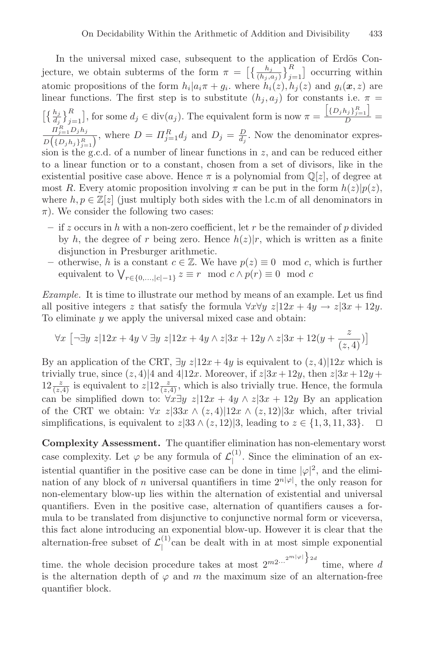In the universal mixed case, subsequent to the application of Erdös Conjecture, we obtain subterms of the form  $\pi = \left[\left\{\frac{h_j}{(h_j, a_j)}\right\}_{j=1}^R\right]$  $_{j=1}^R$  occurring within atomic propositions of the form  $h_i|a_i\pi + g_i$ , where  $h_i(z), h_j(z)$  and  $g_i(x, z)$  are linear functions. The first step is to substitute  $(h_j, a_j)$  for constants i.e.  $\pi =$  $\left[\left\{\frac{h_j}{d_i}\right\}_{j=1}^R\right]$  $\binom{R}{j=1}$ , for some  $d_j \in \text{div}(a_j)$ . The equivalent form is now  $\pi =$  $\left[\left\{D_j h_j\right\}_{j=1}^R\right]$  $\frac{y_{j,j=1}}{D}$  =  $\prod_{j=1}^R D_j h_j$  $\frac{H_{j=1}^2 D_j h_j}{D(\{D_j h_j\}_{j=1}^R)}$ , where  $D = H_{j=1}^R d_j$  and  $D_j = \frac{D}{d_j}$ . Now the denominator expression is the g.c.d. of a number of linear functions in  $z$ , and can be reduced either to a linear function or to a constant, chosen from a set of divisors, like in the existential positive case above. Hence  $\pi$  is a polynomial from  $\mathbb{Q}[z]$ , of degree at most R. Every atomic proposition involving  $\pi$  can be put in the form  $h(z)|p(z)$ , where  $h, p \in \mathbb{Z}[z]$  (just multiply both sides with the l.c.m of all denominators in  $\pi$ ). We consider the following two cases:

- **–** if z occurs in h with a non-zero coefficient, let r be the remainder of p divided by h, the degree of r being zero. Hence  $h(z)|r$ , which is written as a finite disjunction in Presburger arithmetic.
- otherwise, h is a constant  $c \in \mathbb{Z}$ . We have  $p(z) \equiv 0 \mod c$ , which is further equivalent to  $\bigvee_{r \in \{0,\dots,|c|-1\}} z \equiv r \mod c \land p(r) \equiv 0 \mod c$

*Example.* It is time to illustrate our method by means of an example. Let us find all positive integers z that satisfy the formula  $\forall x \forall y \ z | 12x + 4y \rightarrow z | 3x + 12y$ . To eliminate y we apply the universal mixed case and obtain:

$$
\forall x \left[ \neg \exists y \ z | 12x + 4y \lor \exists y \ z | 12x + 4y \land z | 3x + 12y \land z | 3x + 12(y + \frac{z}{(z, 4)}) \right]
$$

By an application of the CRT,  $\exists y z|12x + 4y$  is equivalent to  $(z, 4)|12x$  which is trivially true, since  $(z, 4)|4$  and  $4|12x$ . Moreover, if  $z|3x+12y$ , then  $z|3x+12y+$  $12\frac{z}{(z,4)}$  is equivalent to  $z\left|12\frac{z}{(z,4)}\right|$ , which is also trivially true. Hence, the formula can be simplified down to:  $\forall x \exists y \ z | 12x + 4y \wedge z | 3x + 12y$  By an application of the CRT we obtain:  $\forall x \ z|33x \wedge (z, 4)|12x \wedge (z, 12)|3x$  which, after trivial simplifications, is equivalent to  $z|33 \wedge (z, 12)|3$ , leading to  $z \in \{1, 3, 11, 33\}$ .  $\Box$ 

**Complexity Assessment.** The quantifier elimination has non-elementary worst case complexity. Let  $\varphi$  be any formula of  $\mathcal{L}^{(1)}_1$ . Since the elimination of an existential quantifier in the positive case can be done in time  $|\varphi|^2$ , and the elimination of any block of *n* universal quantifiers in time  $2^{n|\varphi|}$ , the only reason for non-elementary blow-up lies within the alternation of existential and universal quantifiers. Even in the positive case, alternation of quantifiers causes a formula to be translated from disjunctive to conjunctive normal form or viceversa, this fact alone introducing an exponential blow-up. However it is clear that the alternation-free subset of  $\mathcal{L}^{(1)}_$  can be dealt with in at most simple exponential

time. the whole decision procedure takes at most  $2^{m_2...2^{m|\varphi|}}\}$ <sup>2*d*</sup> time, where *d* is the alternation depth of  $\varphi$  and m the maximum size of an alternation-free quantifier block.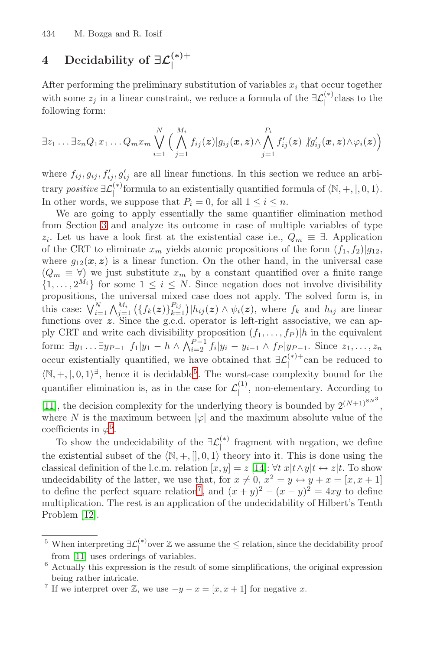# **4** Decidability of  $\exists \mathcal{L}^{(*)+}_1$

After performing the preliminary substitution of variables  $x_i$  that occur together with some  $z_j$  in a linear constraint, we reduce a formula of the  $\exists \mathcal{L}_{\vert}^{(*)}$ class to the following form:

$$
\exists z_1 \ldots \exists z_n Q_1 x_1 \ldots Q_m x_m \bigvee_{i=1}^N \Big(\bigwedge_{j=1}^{M_i} f_{ij}(\boldsymbol{z}) | g_{ij}(\boldsymbol{x},\boldsymbol{z}) \wedge \bigwedge_{j=1}^{P_i} f'_{ij}(\boldsymbol{z}) \big| g'_{ij}(\boldsymbol{x},\boldsymbol{z}) \wedge \varphi_i(\boldsymbol{z}) \Big)
$$

where  $f_{ij}, g_{ij}, f'_{ij}, g'_{ij}$  are all linear functions. In this section we reduce an arbitrary *positive*  $\exists \mathcal{L}_{\vert}^{(*)}$  formula to an existentially quantified formula of  $\langle \mathbb{N}, +, \vert, 0, 1 \rangle$ . In other words, we suppose that  $P_i = 0$ , for all  $1 \leq i \leq n$ .

We are going to apply essentially the same quantifier elimination method from Section [3](#page-3-3) and analyze its outcome in case of multiple variables of type z<sub>i</sub>. Let us have a look first at the existential case i.e.,  $Q_m \equiv \exists$ . Application of the CRT to eliminate  $x_m$  yields atomic propositions of the form  $(f_1, f_2)|g_{12}$ , where  $g_{12}(x, z)$  is a linear function. On the other hand, in the universal case  $(Q_m \equiv \forall)$  we just substitute  $x_m$  by a constant quantified over a finite range  $\{1,\ldots,2^{M_i}\}\)$  for some  $1\leq i\leq N$ . Since negation does not involve divisibility propositions, the universal mixed case does not apply. The solved form is, in this case:  $\bigvee_{i=1}^N \bigwedge_{j=1}^{M_i} (\{f_k(z)\}_{k=1}^{P_{ij}})|h_{ij}(z) \wedge \psi_i(z)$ , where  $f_k$  and  $h_{ij}$  are linear functions over z. Since the g.c.d. operator is left-right associative, we can apply CRT and write each divisibility proposition  $(f_1, \ldots, f_p)$  in the equivalent form: ∃y<sub>1</sub> ... ∃y<sub>P-1</sub>  $f_1|y_1 - h \wedge \bigwedge_{i=2}^{P-1} f_i|y_i - y_{i-1} \wedge f_P|y_{P-1}$ . Since  $z_1, \ldots, z_n$ occur existentially quantified, we have obtained that  $\exists \mathcal{L}^{(*)+}_{\vert}$  can be reduced to  $\langle \mathbb{N}, +, |, 0, 1 \rangle^{\exists}$ , hence it is decidable<sup>[5](#page-9-0)</sup>. The worst-case complexity bound for the quantifier elimination is, as in the case for  $\mathcal{L}^{(1)}_|$ , non-elementary. According to [\[11\]](#page-14-2), the decision complexity for the underlying theory is bounded by  $2^{(N+1)^{8N^3}}$ ,

where N is the maximum between  $|\varphi|$  and the maximum absolute value of the coefficients in  $\varphi^6$  $\varphi^6$ .

To show the undecidability of the  $\exists \mathcal{L}_{\vert}^{(*)}$  fragment with negation, we define the existential subset of the  $\langle \mathbb{N}, +, [ \cdot, 0, 1 \rangle$  theory into it. This is done using the classical definition of the l.c.m. relation  $[x, y] = z$  [\[14\]](#page-14-0):  $\forall t \; x | t \wedge y | t \leftrightarrow z | t$ . To show undecidability of the latter, we use that, for  $x \neq 0$ ,  $x^2 = y \leftrightarrow y + x = [x, x + 1]$ to define the perfect square relation<sup>[7](#page-9-2)</sup>, and  $(x + y)^2 - (x - y)^2 = 4xy$  to define multiplication. The rest is an application of the undecidability of Hilbert's Tenth Problem [\[12\]](#page-14-6).

<span id="page-9-0"></span><sup>&</sup>lt;sup>5</sup> When interpreting  $\exists \mathcal{L}_{\vert}^{(*)}$  over  $\mathbb{Z}$  we assume the  $\leq$  relation, since the decidability proof from [\[11\]](#page-14-2) uses orderings of variables.

<span id="page-9-1"></span> $6$  Actually this expression is the result of some simplifications, the original expression being rather intricate.

<span id="page-9-2"></span><sup>&</sup>lt;sup>7</sup> If we interpret over  $\mathbb{Z}$ , we use  $-y-x=[x, x+1]$  for negative x.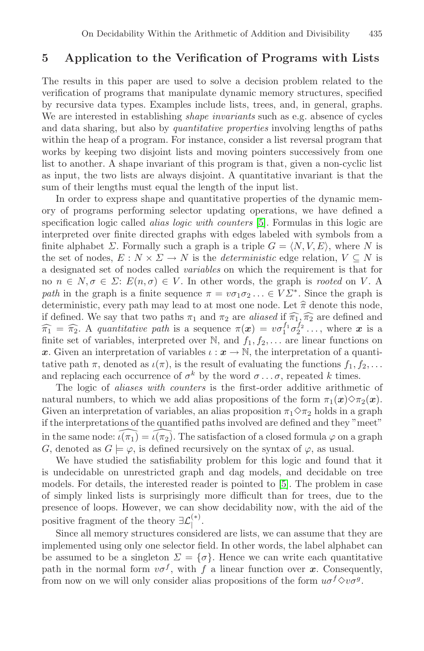## **5 Application to the Verification of Programs with Lists**

The results in this paper are used to solve a decision problem related to the verification of programs that manipulate dynamic memory structures, specified by recursive data types. Examples include lists, trees, and, in general, graphs. We are interested in establishing *shape invariants* such as e.g. absence of cycles and data sharing, but also by *quantitative properties* involving lengths of paths within the heap of a program. For instance, consider a list reversal program that works by keeping two disjoint lists and moving pointers successively from one list to another. A shape invariant of this program is that, given a non-cyclic list as input, the two lists are always disjoint. A quantitative invariant is that the sum of their lengths must equal the length of the input list.

In order to express shape and quantitative properties of the dynamic memory of programs performing selector updating operations, we have defined a specification logic called *alias logic with counters* [\[5\]](#page-14-10). Formulas in this logic are interpreted over finite directed graphs with edges labeled with symbols from a finite alphabet  $\Sigma$ . Formally such a graph is a triple  $G = \langle N, V, E \rangle$ , where N is the set of nodes,  $E: N \times \Sigma \to N$  is the *deterministic* edge relation,  $V \subseteq N$  is a designated set of nodes called *variables* on which the requirement is that for no  $n \in N, \sigma \in \Sigma$ :  $E(n, \sigma) \in V$ . In other words, the graph is *rooted* on V. A *path* in the graph is a finite sequence  $\pi = v\sigma_1\sigma_2\ldots \in V\Sigma^*$ . Since the graph is deterministic, every path may lead to at most one node. Let  $\hat{\pi}$  denote this node, if defined. We say that two paths  $\pi_1$  and  $\pi_2$  are *aliased* if  $\widehat{\pi_1}, \widehat{\pi_2}$  are defined and  $\widehat{\pi_1} = \widehat{\pi_2}$ . A *quantitative path* is a sequence  $\pi(\boldsymbol{x}) = v \sigma_1^{f_1} \sigma_2^{f_2} \dots$ , where  $\boldsymbol{x}$  is a finite set of variables, interpreted over  $\mathbb N$ , and  $f_1, f_2, \ldots$  are linear functions on *x*. Given an interpretation of variables  $\iota : \mathbf{x} \to \mathbb{N}$ , the interpretation of a quantitative path  $\pi$ , denoted as  $\iota(\pi)$ , is the result of evaluating the functions  $f_1, f_2, \ldots$ and replacing each occurrence of  $\sigma^k$  by the word  $\sigma \dots \sigma$ , repeated k times.

The logic of *aliases with counters* is the first-order additive arithmetic of natural numbers, to which we add alias propositions of the form  $\pi_1(\boldsymbol{x}) \Diamond \pi_2(\boldsymbol{x})$ . Given an interpretation of variables, an alias proposition  $\pi_1 \Diamond \pi_2$  holds in a graph if the interpretations of the quantified paths involved are defined and they "meet" in the same node:  $\widehat{\iota(\pi_1)} = \widehat{\iota(\pi_2)}$ . The satisfaction of a closed formula  $\varphi$  on a graph G, denoted as  $G \models \varphi$ , is defined recursively on the syntax of  $\varphi$ , as usual.

We have studied the satisfiability problem for this logic and found that it is undecidable on unrestricted graph and dag models, and decidable on tree models. For details, the interested reader is pointed to [\[5\]](#page-14-10). The problem in case of simply linked lists is surprisingly more difficult than for trees, due to the presence of loops. However, we can show decidability now, with the aid of the positive fragment of the theory  $\exists \mathcal{L}_{\vert}^{(*)}$ .

Since all memory structures considered are lists, we can assume that they are implemented using only one selector field. In other words, the label alphabet can be assumed to be a singleton  $\Sigma = {\sigma}$ . Hence we can write each quantitative path in the normal form  $v\sigma^f$ , with f a linear function over x. Consequently, from now on we will only consider alias propositions of the form  $u\sigma^f \Diamond v\sigma^g$ .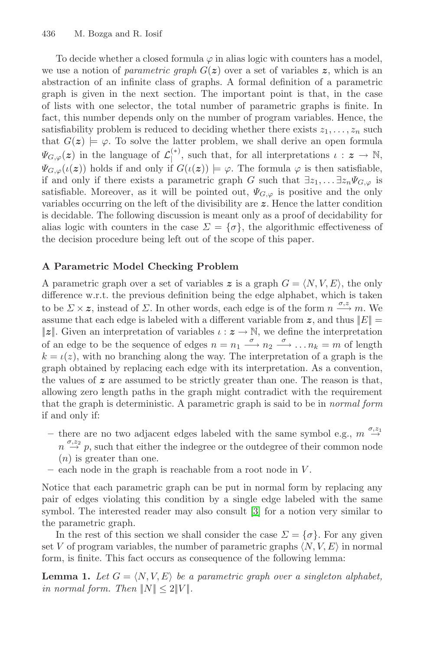To decide whether a closed formula  $\varphi$  in alias logic with counters has a model, we use a notion of *parametric graph*  $G(z)$  over a set of variables z, which is an abstraction of an infinite class of graphs. A formal definition of a parametric graph is given in the next section. The important point is that, in the case of lists with one selector, the total number of parametric graphs is finite. In fact, this number depends only on the number of program variables. Hence, the satisfiability problem is reduced to deciding whether there exists  $z_1, \ldots, z_n$  such that  $G(z) \models \varphi$ . To solve the latter problem, we shall derive an open formula  $\Psi_{G,\varphi}(z)$  in the language of  $\mathcal{L}^{(*)}_|$ , such that, for all interpretations  $\iota : z \to \mathbb{N}$ ,  $\Psi_{G,\varphi}(\iota(z))$  holds if and only if  $G(\iota(z)) \models \varphi$ . The formula  $\varphi$  is then satisfiable, if and only if there exists a parametric graph G such that  $\exists z_1, \ldots \exists z_n \Psi_{G,\varphi}$  is satisfiable. Moreover, as it will be pointed out,  $\Psi_{G,\varphi}$  is positive and the only variables occurring on the left of the divisibility are *z*. Hence the latter condition is decidable. The following discussion is meant only as a proof of decidability for alias logic with counters in the case  $\Sigma = {\sigma}$ , the algorithmic effectiveness of the decision procedure being left out of the scope of this paper.

### **A Parametric Model Checking Problem**

A parametric graph over a set of variables z is a graph  $G = \langle N, V, E \rangle$ , the only difference w.r.t. the previous definition being the edge alphabet, which is taken to be  $\Sigma \times z$ , instead of  $\Sigma$ . In other words, each edge is of the form  $n \stackrel{\sigma, z}{\longrightarrow} m$ . We assume that each edge is labeled with a different variable from  $z$ , and thus  $||E|| =$ ||*z*||. Given an interpretation of variables  $\iota : z \to \mathbb{N}$ , we define the interpretation of an edge to be the sequence of edges  $n = n_1 \stackrel{\sigma}{\longrightarrow} n_2 \stackrel{\sigma}{\longrightarrow} \dots n_k = m$  of length  $k = \iota(z)$ , with no branching along the way. The interpretation of a graph is the graph obtained by replacing each edge with its interpretation. As a convention, the values of  $z$  are assumed to be strictly greater than one. The reason is that, allowing zero length paths in the graph might contradict with the requirement that the graph is deterministic. A parametric graph is said to be in *normal form* if and only if:

- there are no two adjacent edges labeled with the same symbol e.g.,  $m \stackrel{\sigma, z_1}{\rightarrow}$  $n \stackrel{\sigma, z_2}{\rightarrow} p$ , such that either the indegree or the outdegree of their common node  $(n)$  is greater than one.
- **–** each node in the graph is reachable from a root node in V .

Notice that each parametric graph can be put in normal form by replacing any pair of edges violating this condition by a single edge labeled with the same symbol. The interested reader may also consult [\[3\]](#page-14-14) for a notion very similar to the parametric graph.

In the rest of this section we shall consider the case  $\Sigma = {\sigma}$ . For any given set V of program variables, the number of parametric graphs  $\langle N, V, E \rangle$  in normal form, is finite. This fact occurs as consequence of the following lemma:

**Lemma 1.** Let  $G = \langle N, V, E \rangle$  be a parametric graph over a singleton alphabet, *in normal form. Then*  $||N|| \leq 2||V||$ *.*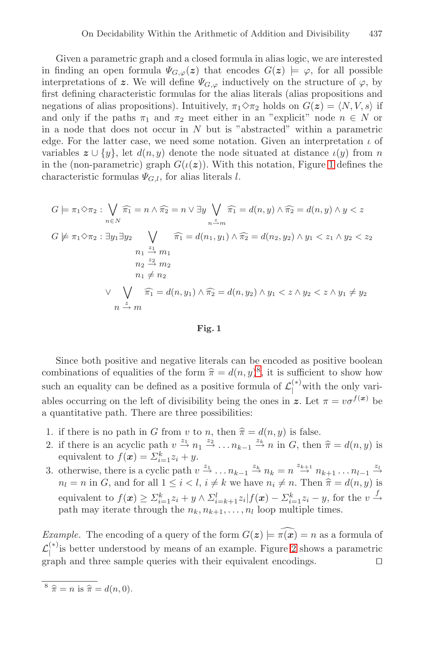Given a parametric graph and a closed formula in alias logic, we are interested in finding an open formula  $\Psi_{G,\varphi}(z)$  that encodes  $G(z) \models \varphi$ , for all possible interpretations of *z*. We will define  $\Psi_{G,\varphi}$  inductively on the structure of  $\varphi$ , by first defining characteristic formulas for the alias literals (alias propositions and negations of alias propositions). Intuitively,  $\pi_1 \Diamond \pi_2$  holds on  $G(z) = \langle N, V, s \rangle$  if and only if the paths  $\pi_1$  and  $\pi_2$  meet either in an "explicit" node  $n \in N$  or in a node that does not occur in  $N$  but is "abstracted" within a parametric edge. For the latter case, we need some notation. Given an interpretation  $\iota$  of variables  $\boldsymbol{z} \cup \{y\}$ , let  $d(n, y)$  denote the node situated at distance  $\iota(y)$  from n in the (non-parametric) graph  $G(\iota(z))$ . With this notation, Figure [1](#page-12-0) defines the characteristic formulas  $\Psi_{G,l}$ , for alias literals l.

$$
G \models \pi_1 \Diamond \pi_2 : \bigvee_{n \in N} \widehat{\pi_1} = n \land \widehat{\pi_2} = n \lor \exists y \bigvee_{n \stackrel{s}{\rightarrow} m} \widehat{\pi_1} = d(n, y) \land \widehat{\pi_2} = d(n, y) \land y < z
$$
\n
$$
G \not\models \pi_1 \Diamond \pi_2 : \exists y_1 \exists y_2 \bigvee_{n_1 \stackrel{s_1}{\rightarrow} m_1} \widehat{\pi_1} = d(n_1, y_1) \land \widehat{\pi_2} = d(n_2, y_2) \land y_1 < z_1 \land y_2 < z_2
$$
\n
$$
n_1 \stackrel{s_1}{\rightarrow} m_1
$$
\n
$$
n_2 \stackrel{s_2}{\rightarrow} m_2
$$
\n
$$
\lor \bigvee_{n \stackrel{s}{\rightarrow} m} \widehat{\pi_1} = d(n, y_1) \land \widehat{\pi_2} = d(n, y_2) \land y_1 < z \land y_2 < z \land y_1 \neq y_2
$$
\n
$$
n \stackrel{s}{\rightarrow} m
$$

### <span id="page-12-0"></span>**Fig. 1**

Since both positive and negative literals can be encoded as positive boolean combinations of equalities of the form  $\hat{\pi} = d(n, y)^8$  $\hat{\pi} = d(n, y)^8$ , it is sufficient to show how such an equality can be defined as a positive formula of  $\mathcal{L}_{\vert}^{(*)}$  with the only variables occurring on the left of divisibility being the ones in  $\boldsymbol{z}$ . Let  $\pi = v\sigma^{f(\boldsymbol{x})}$  be a quantitative path. There are three possibilities:

- 1. if there is no path in G from v to n, then  $\hat{\pi} = d(n, y)$  is false.
- 2. if there is an acyclic path  $v \stackrel{z_1}{\rightarrow} n_1 \stackrel{z_2}{\rightarrow} \ldots n_{k-1} \stackrel{z_k}{\rightarrow} n$  in G, then  $\hat{\pi} = d(n, y)$  is equivalent to  $f(\boldsymbol{x}) = \sum_{i=1}^{k} z_i + y$ .
- 3. otherwise, there is a cyclic path  $v \stackrel{z_1}{\rightarrow} \ldots n_{k-1} \stackrel{z_k}{\rightarrow} n_k = n \stackrel{z_{k+1}}{\rightarrow} n_{k+1} \ldots n_{l-1} \stackrel{z_l}{\rightarrow}$  $n_l = n$  in G, and for all  $1 \leq i < l$ ,  $i \neq k$  we have  $n_i \neq n$ . Then  $\hat{\pi} = d(n, y)$  is equivalent to  $f(\mathbf{x}) \ge \sum_{i=1}^k z_i + y \wedge \sum_{i=k+1}^l z_i | f(\mathbf{x}) - \sum_{i=1}^k z_i - y$ , for the  $v \stackrel{f}{\rightarrow}$ path may iterate through the  $n_k, n_{k+1}, \ldots, n_l$  loop multiple times.

*Example.* The encoding of a query of the form  $G(z) \models \pi(x) = n$  as a formula of  $\mathcal{L}_{\vert}^{(*)}$  is better understood by means of an example. Figure [2](#page-13-0) shows a parametric graph and three sample queries with their equivalent encodings.  $\square$ 

<span id="page-12-1"></span> $\overline{\hat{\pi} = n \text{ is } \hat{\pi}} = d(n, 0).$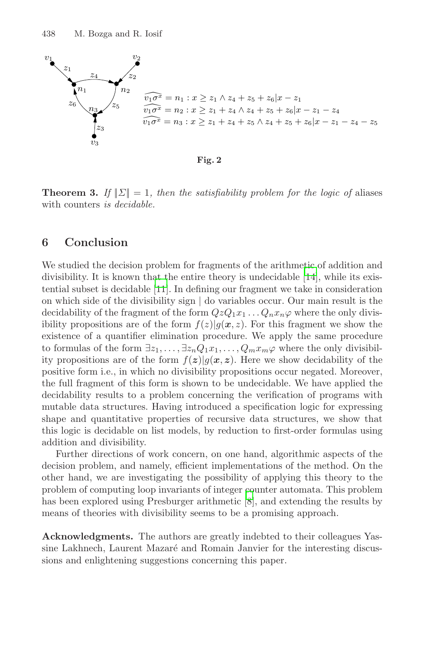

<span id="page-13-0"></span>**Theorem 3.** *If*  $|\Sigma| = 1$ , then the satisfiability problem for the logic of aliases with counters *is decidable.*

### **6 Conclusion**

We studied the decision problem for fragments of the arithme[tic](#page-14-0) of addition and divisibility. It is known th[at t](#page-14-2)he entire theory is undecidable [14], while its existential subset is decidable [11]. In defining our fragment we take in consideration on which side of the divisibility sign | do variables occur. Our main result is the decidability of the fragment of the form  $QzQ_1x_1 \ldots Q_nx_n\varphi$  where the only divisibility propositions are of the form  $f(z)|g(x, z)$ . For this fragment we show the existence of a quantifier elimination procedure. We apply the same procedure to formulas of the form  $\exists z_1,\ldots,\exists z_n Q_1x_1,\ldots,Q_mx_m\varphi$  where the only divisibility propositions are of the form  $f(z)|g(x, z)$ . Here we show decidability of the positive form i.e., in which no divisibility propositions occur negated. Moreover, the full fragment of this form is shown to be undecidable. We have applied the decidability results to a problem concerning the verification of programs with mutable data structures. Having introduced a specification logic for expressing shape and quantitative properties of recursive data structures, we show that this logic is decidable on list models, by reduction to first-order formulas using addition and divisibility.

Further directions of work concern, on one hand, algorithmic aspects of the decision problem, and namely, efficient implementations of the method. On the other hand, we are investigating the possibility of applying this theory to the problem of computing loop invariants of integer [co](#page-14-15)unter automata. This problem has been explored using Presburger arithmetic [8], and extending the results by means of theories with divisibility seems to be a promising approach.

**Acknowledgments.** The authors are greatly indebted to their colleagues Yassine Lakhnech, Laurent Mazaré and Romain Janvier for the interesting discussions and enlightening suggestions concerning this paper.